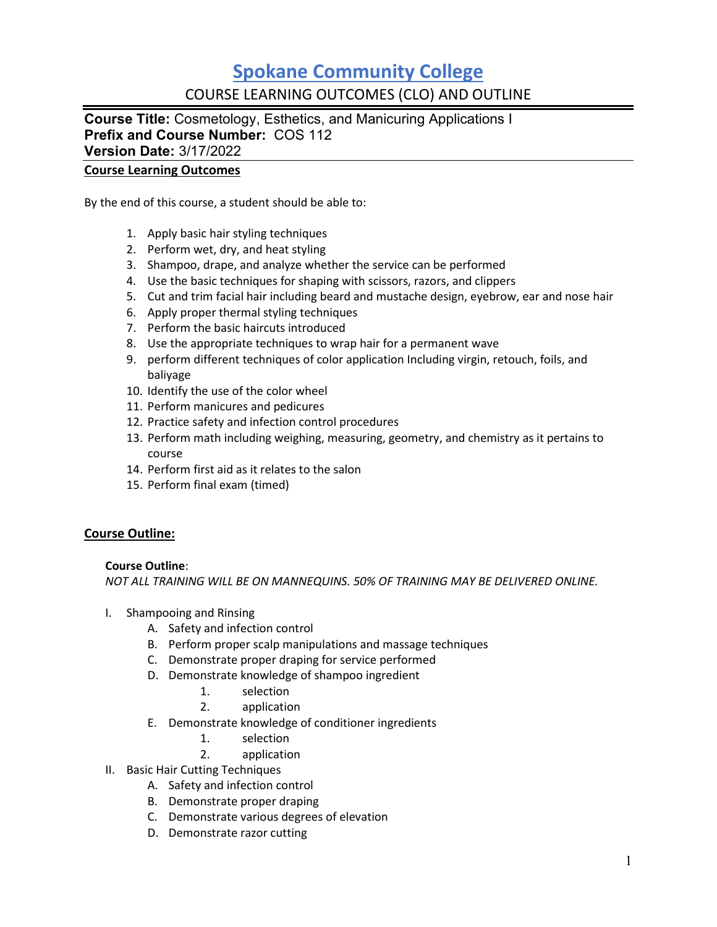## **Spokane Community College** COURSE LEARNING OUTCOMES (CLO) AND OUTLINE

**Course Title:** Cosmetology, Esthetics, and Manicuring Applications I **Prefix and Course Number:** COS 112 **Version Date:** 3/17/2022

### **Course Learning Outcomes**

By the end of this course, a student should be able to:

- 1. Apply basic hair styling techniques
- 2. Perform wet, dry, and heat styling
- 3. Shampoo, drape, and analyze whether the service can be performed
- 4. Use the basic techniques for shaping with scissors, razors, and clippers
- 5. Cut and trim facial hair including beard and mustache design, eyebrow, ear and nose hair
- 6. Apply proper thermal styling techniques
- 7. Perform the basic haircuts introduced
- 8. Use the appropriate techniques to wrap hair for a permanent wave
- 9. perform different techniques of color application Including virgin, retouch, foils, and baliyage
- 10. Identify the use of the color wheel
- 11. Perform manicures and pedicures
- 12. Practice safety and infection control procedures
- 13. Perform math including weighing, measuring, geometry, and chemistry as it pertains to course
- 14. Perform first aid as it relates to the salon
- 15. Perform final exam (timed)

### **Course Outline:**

### **Course Outline**:

*NOT ALL TRAINING WILL BE ON MANNEQUINS. 50% OF TRAINING MAY BE DELIVERED ONLINE.*

- I. Shampooing and Rinsing
	- A. Safety and infection control
	- B. Perform proper scalp manipulations and massage techniques
	- C. Demonstrate proper draping for service performed
	- D. Demonstrate knowledge of shampoo ingredient
		- 1. selection
		- 2. application
	- E. Demonstrate knowledge of conditioner ingredients
		- 1. selection
		- 2. application
- II. Basic Hair Cutting Techniques
	- A. Safety and infection control
	- B. Demonstrate proper draping
	- C. Demonstrate various degrees of elevation
	- D. Demonstrate razor cutting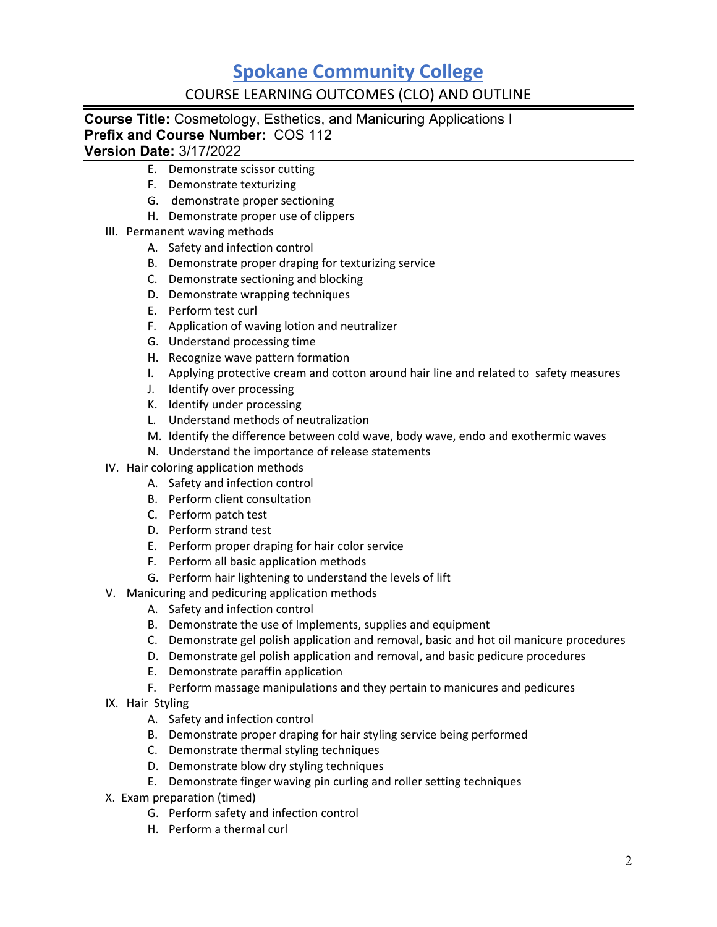# **Spokane Community College**

### COURSE LEARNING OUTCOMES (CLO) AND OUTLINE

## **Course Title:** Cosmetology, Esthetics, and Manicuring Applications I **Prefix and Course Number:** COS 112

### **Version Date:** 3/17/2022

- E. Demonstrate scissor cutting
- F. Demonstrate texturizing
- G. demonstrate proper sectioning
- H. Demonstrate proper use of clippers
- III. Permanent waving methods
	- A. Safety and infection control
	- B. Demonstrate proper draping for texturizing service
	- C. Demonstrate sectioning and blocking
	- D. Demonstrate wrapping techniques
	- E. Perform test curl
	- F. Application of waving lotion and neutralizer
	- G. Understand processing time
	- H. Recognize wave pattern formation
	- I. Applying protective cream and cotton around hair line and related to safety measures
	- J. Identify over processing
	- K. Identify under processing
	- L. Understand methods of neutralization
	- M. Identify the difference between cold wave, body wave, endo and exothermic waves
	- N. Understand the importance of release statements
- IV. Hair coloring application methods
	- A. Safety and infection control
	- B. Perform client consultation
	- C. Perform patch test
	- D. Perform strand test
	- E. Perform proper draping for hair color service
	- F. Perform all basic application methods
	- G. Perform hair lightening to understand the levels of lift
- V. Manicuring and pedicuring application methods
	- A. Safety and infection control
	- B. Demonstrate the use of Implements, supplies and equipment
	- C. Demonstrate gel polish application and removal, basic and hot oil manicure procedures
	- D. Demonstrate gel polish application and removal, and basic pedicure procedures
	- E. Demonstrate paraffin application
	- F. Perform massage manipulations and they pertain to manicures and pedicures
- IX. Hair Styling
	- A. Safety and infection control
	- B. Demonstrate proper draping for hair styling service being performed
	- C. Demonstrate thermal styling techniques
	- D. Demonstrate blow dry styling techniques
	- E. Demonstrate finger waving pin curling and roller setting techniques
- X. Exam preparation (timed)
	- G. Perform safety and infection control
	- H. Perform a thermal curl